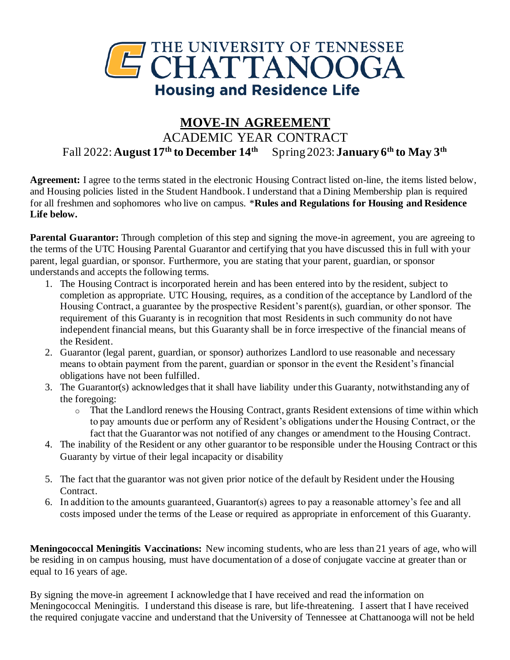

## **MOVE-IN AGREEMENT** ACADEMIC YEAR CONTRACT Fall 2022: **August 17 th to December 14th** Spring 2023: **January 6 th to May 3 th**

**Agreement:** I agree to the terms stated in the electronic Housing Contract listed on-line, the items listed below, and Housing policies listed in the Student Handbook. I understand that a Dining Membership plan is required for all freshmen and sophomores who live on campus. \***Rules and Regulations for Housing and Residence Life below.**

**Parental Guarantor:** Through completion of this step and signing the move-in agreement, you are agreeing to the terms of the UTC Housing Parental Guarantor and certifying that you have discussed this in full with your parent, legal guardian, or sponsor. Furthermore, you are stating that your parent, guardian, or sponsor understands and accepts the following terms.

- 1. The Housing Contract is incorporated herein and has been entered into by the resident, subject to completion as appropriate. UTC Housing, requires, as a condition of the acceptance by Landlord of the Housing Contract, a guarantee by the prospective Resident's parent(s), guardian, or other sponsor. The requirement of this Guaranty is in recognition that most Residents in such community do not have independent financial means, but this Guaranty shall be in force irrespective of the financial means of the Resident.
- 2. Guarantor (legal parent, guardian, or sponsor) authorizes Landlord to use reasonable and necessary means to obtain payment from the parent, guardian or sponsor in the event the Resident's financial obligations have not been fulfilled.
- 3. The Guarantor(s) acknowledges that it shall have liability under this Guaranty, notwithstanding any of the foregoing:
	- o That the Landlord renews the Housing Contract, grants Resident extensions of time within which to pay amounts due or perform any of Resident's obligations under the Housing Contract, or the fact that the Guarantor was not notified of any changes or amendment to the Housing Contract.
- 4. The inability of the Resident or any other guarantor to be responsible under the Housing Contract or this Guaranty by virtue of their legal incapacity or disability
- 5. The fact that the guarantor was not given prior notice of the default by Resident under the Housing Contract.
- 6. In addition to the amounts guaranteed, Guarantor(s) agrees to pay a reasonable attorney's fee and all costs imposed under the terms of the Lease or required as appropriate in enforcement of this Guaranty.

**Meningococcal Meningitis Vaccinations:** New incoming students, who are less than 21 years of age, who will be residing in on campus housing, must have documentation of a dose of conjugate vaccine at greater than or equal to 16 years of age.

By signing the move-in agreement I acknowledge that I have received and read the information on Meningococcal Meningitis. I understand this disease is rare, but life-threatening. I assert that I have received the required conjugate vaccine and understand that the University of Tennessee at Chattanooga will not be held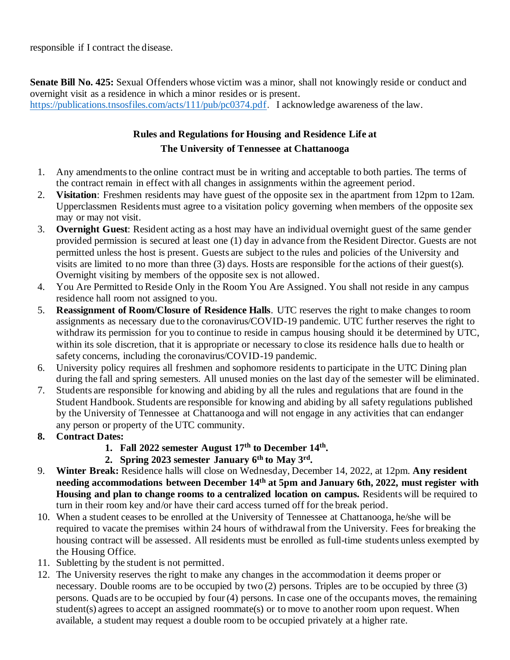responsible if I contract the disease.

**Senate Bill No. 425:** Sexual Offenders whose victim was a minor, shall not knowingly reside or conduct and overnight visit as a residence in which a minor resides or is present. https://publications.tnsosfiles.com/acts/111/pub/pc0374.pdf. I acknowledge awareness of the law.

## **Rules and Regulations for Housing and Residence Life at The University of Tennessee at Chattanooga**

- 1. Any amendments to the online contract must be in writing and acceptable to both parties. The terms of the contract remain in effect with all changes in assignments within the agreement period.
- 2. **Visitation**: Freshmen residents may have guest of the opposite sex in the apartment from 12pm to 12am. Upperclassmen Residents must agree to a visitation policy governing when members of the opposite sex may or may not visit.
- 3. **Overnight Guest**: Resident acting as a host may have an individual overnight guest of the same gender provided permission is secured at least one (1) day in advance from the Resident Director. Guests are not permitted unless the host is present. Guests are subject to the rules and policies of the University and visits are limited to no more than three (3) days. Hosts are responsible for the actions of their guest(s). Overnight visiting by members of the opposite sex is not allowed.
- 4. You Are Permitted to Reside Only in the Room You Are Assigned. You shall not reside in any campus residence hall room not assigned to you.
- 5. **Reassignment of Room/Closure of Residence Halls**. UTC reserves the right to make changes to room assignments as necessary due to the coronavirus/COVID-19 pandemic. UTC further reserves the right to withdraw its permission for you to continue to reside in campus housing should it be determined by UTC, within its sole discretion, that it is appropriate or necessary to close its residence halls due to health or safety concerns, including the coronavirus/COVID-19 pandemic.
- 6. University policy requires all freshmen and sophomore residents to participate in the UTC Dining plan during the fall and spring semesters. All unused monies on the last day of the semester will be eliminated.
- 7. Students are responsible for knowing and abiding by all the rules and regulations that are found in the Student Handbook. Students are responsible for knowing and abiding by all safety regulations published by the University of Tennessee at Chattanooga and will not engage in any activities that can endanger any person or property of the UTC community.
- **8. Contract Dates:** 
	- 1. Fall 2022 semester August 17<sup>th</sup> to December 14<sup>th</sup>.
	- 2. Spring 2023 semester January 6<sup>th</sup> to May 3<sup>rd</sup>.
- 9. **Winter Break:** Residence halls will close on Wednesday, December 14, 2022, at 12pm. **Any resident needing accommodations between December 14th at 5pm and January 6th, 2022, must register with Housing and plan to change rooms to a centralized location on campus.** Residents will be required to turn in their room key and/or have their card access turned off for the break period.
- 10. When a student ceases to be enrolled at the University of Tennessee at Chattanooga, he/she will be required to vacate the premises within 24 hours of withdrawal from the University. Fees for breaking the housing contract will be assessed. All residents must be enrolled as full-time students unless exempted by the Housing Office.
- 11. Subletting by the student is not permitted.
- 12. The University reserves the right to make any changes in the accommodation it deems proper or necessary. Double rooms are to be occupied by two (2) persons. Triples are to be occupied by three (3) persons. Quads are to be occupied by four (4) persons. In case one of the occupants moves, the remaining student(s) agrees to accept an assigned roommate(s) or to move to another room upon request. When available, a student may request a double room to be occupied privately at a higher rate.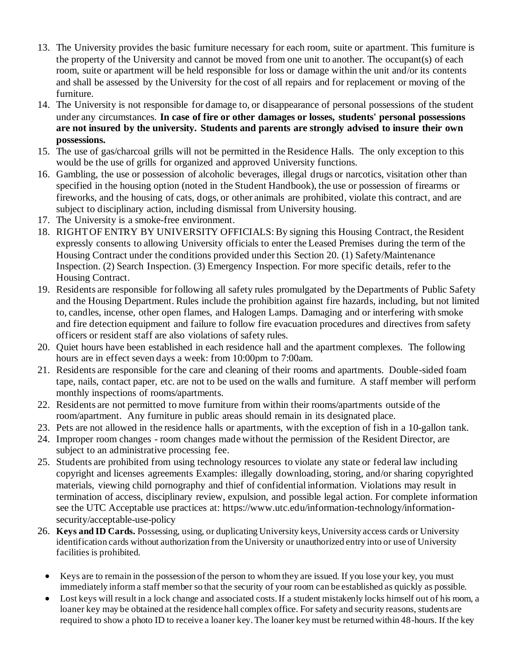- 13. The University provides the basic furniture necessary for each room, suite or apartment. This furniture is the property of the University and cannot be moved from one unit to another. The occupant(s) of each room, suite or apartment will be held responsible for loss or damage within the unit and/or its contents and shall be assessed by the University for the cost of all repairs and for replacement or moving of the furniture.
- 14. The University is not responsible for damage to, or disappearance of personal possessions of the student under any circumstances. **In case of fire or other damages or losses, students' personal possessions are not insured by the university. Students and parents are strongly advised to insure their own possessions.**
- 15. The use of gas/charcoal grills will not be permitted in the Residence Halls. The only exception to this would be the use of grills for organized and approved University functions.
- 16. Gambling, the use or possession of alcoholic beverages, illegal drugs or narcotics, visitation other than specified in the housing option (noted in the Student Handbook), the use or possession of firearms or fireworks, and the housing of cats, dogs, or other animals are prohibited, violate this contract, and are subject to disciplinary action, including dismissal from University housing.
- 17. The University is a smoke-free environment.
- 18. RIGHT OF ENTRY BY UNIVERSITY OFFICIALS: By signing this Housing Contract, the Resident expressly consents to allowing University officials to enter the Leased Premises during the term of the Housing Contract under the conditions provided under this Section 20. (1) Safety/Maintenance Inspection. (2) Search Inspection. (3) Emergency Inspection. For more specific details, refer to the Housing Contract.
- 19. Residents are responsible for following all safety rules promulgated by the Departments of Public Safety and the Housing Department. Rules include the prohibition against fire hazards, including, but not limited to, candles, incense, other open flames, and Halogen Lamps. Damaging and or interfering with smoke and fire detection equipment and failure to follow fire evacuation procedures and directives from safety officers or resident staff are also violations of safety rules.
- 20. Quiet hours have been established in each residence hall and the apartment complexes. The following hours are in effect seven days a week: from 10:00pm to 7:00am.
- 21. Residents are responsible for the care and cleaning of their rooms and apartments. Double-sided foam tape, nails, contact paper, etc. are not to be used on the walls and furniture. A staff member will perform monthly inspections of rooms/apartments.
- 22. Residents are not permitted to move furniture from within their rooms/apartments outside of the room/apartment. Any furniture in public areas should remain in its designated place.
- 23. Pets are not allowed in the residence halls or apartments, with the exception of fish in a 10-gallon tank.
- 24. Improper room changes room changes made without the permission of the Resident Director, are subject to an administrative processing fee.
- 25. Students are prohibited from using technology resources to violate any state or federal law including copyright and licenses agreements Examples: illegally downloading, storing, and/or sharing copyrighted materials, viewing child pornography and thief of confidential information. Violations may result in termination of access, disciplinary review, expulsion, and possible legal action. For complete information see the UTC Acceptable use practices at: https://www.utc.edu/information-technology/informationsecurity/acceptable-use-policy
- 26. **Keys and ID Cards.** Possessing, using, or duplicating University keys, University access cards or University identification cards without authorization from the University or unauthorized entry into or use of University facilities is prohibited.
	- Keys are to remain in the possession of the person to whom they are issued. If you lose your key, you must immediately inform a staff member so that the security of your room can be established as quickly as possible.
	- Lost keys will result in a lock change and associated costs. If a student mistakenly locks himself out of his room, a loaner key may be obtained at the residence hall complex office. For safety and security reasons, students are required to show a photo ID to receive a loaner key. The loaner key must be returned within 48-hours. If the key